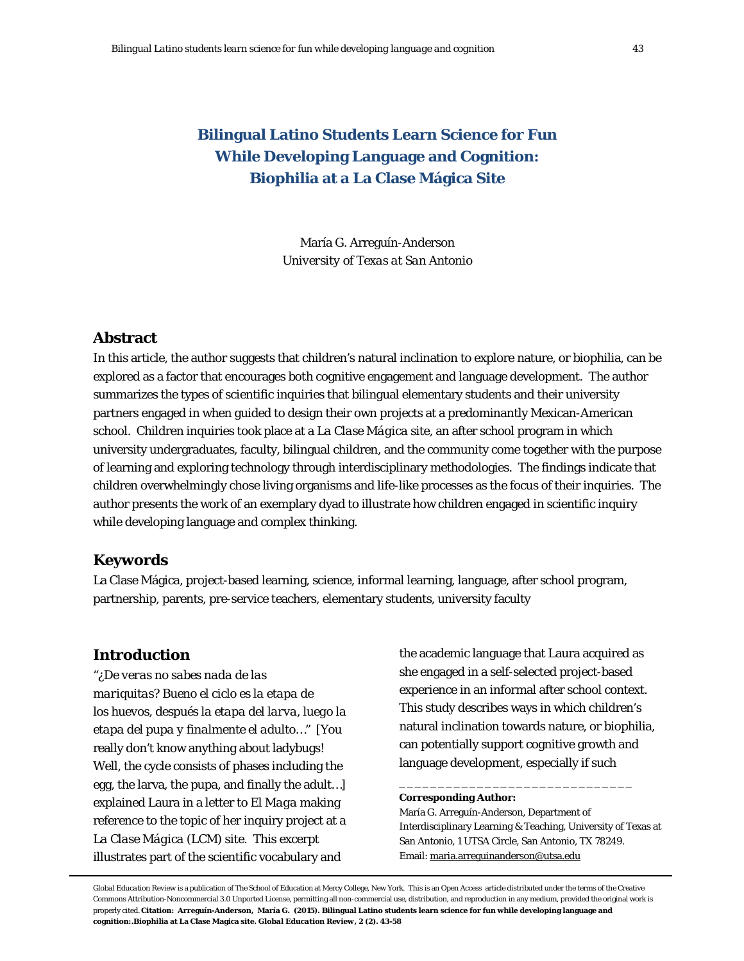# **Bilingual Latino Students Learn Science for Fun While Developing Language and Cognition: Biophilia at a La Clase Mágica Site**

María G. Arreguín-Anderson *University of Texas at San Antonio*

## **Abstract**

In this article, the author suggests that children's natural inclination to explore nature, or biophilia, can be explored as a factor that encourages both cognitive engagement and language development. The author summarizes the types of scientific inquiries that bilingual elementary students and their university partners engaged in when guided to design their own projects at a predominantly Mexican-American school. Children inquiries took place at a *La Clase Mágica* site, an after school program in which university undergraduates, faculty, bilingual children, and the community come together with the purpose of learning and exploring technology through interdisciplinary methodologies. The findings indicate that children overwhelmingly chose living organisms and life-like processes as the focus of their inquiries. The author presents the work of an exemplary dyad to illustrate how children engaged in scientific inquiry while developing language and complex thinking.

## **Keywords**

La Clase Mágica, project-based learning, science, informal learning, language, after school program, partnership, parents, pre-service teachers, elementary students, university faculty

# **Introduction**

"¿*De veras no sabes nada de las mariquitas? Bueno el ciclo es la etapa de los huevos, después la etapa del larva, luego la etapa del pupa y finalmente el adulto*…" [You really don't know anything about ladybugs! Well, the cycle consists of phases including the egg, the larva, the pupa, and finally the adult…] explained Laura in a letter to *El Maga* making reference to the topic of her inquiry project at a *La Clase Mágica* (LCM) site. This excerpt illustrates part of the scientific vocabulary and

the academic language that Laura acquired as she engaged in a self-selected project-based experience in an informal after school context. This study describes ways in which children's natural inclination towards nature, or biophilia, can potentially support cognitive growth and language development, especially if such

#### **Corresponding Author:**

María G. Arreguín-Anderson, Department of Interdisciplinary Learning & Teaching, University of Texas at San Antonio, 1 UTSA Circle, San Antonio, TX 78249. Email[: maria.arreguinanderson@utsa.edu](mailto:maria.arreguinanderson@utsa.edu)

\_\_\_\_\_\_\_\_\_\_\_\_\_\_\_\_\_\_\_\_\_\_\_\_\_\_\_\_\_\_

*Global Education Review* is a publication of The School of Education at Mercy College, New York. This is an Open Access article distributed under the terms of the Creative Commons Attribution-Noncommercial 3.0 Unported License, permitting all non-commercial use, distribution, and reproduction in any medium, provided the original work is properly cited. **Citation: Arreguín-Anderson, María G. (2015). Bilingual Latino students learn science for fun while developing language and cognition:.Biophilia at La Clase Magica site.** *Global Education Review, 2* **(2). 43-58**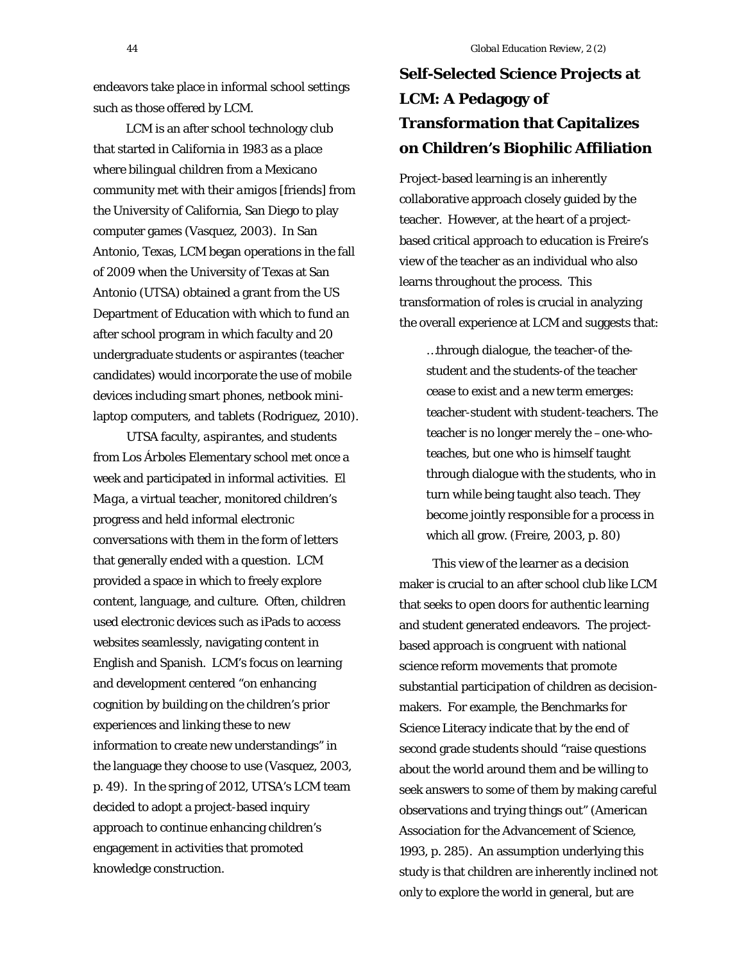endeavors take place in informal school settings such as those offered by LCM.

LCM is an after school technology club that started in California in 1983 as a place where bilingual children from a Mexicano community met with their *amigos* [friends] from the University of California, San Diego to play computer games (Vasquez, 2003). In San Antonio, Texas, LCM began operations in the fall of 2009 when the University of Texas at San Antonio (UTSA) obtained a grant from the US Department of Education with which to fund an after school program in which faculty and 20 undergraduate students or *aspirantes* (teacher candidates) would incorporate the use of mobile devices including smart phones, netbook minilaptop computers, and tablets (Rodriguez, 2010).

UTSA faculty, *aspirantes*, and students from *Los Árboles* Elementary school met once a week and participated in informal activities. *El Maga*, a virtual teacher, monitored children's progress and held informal electronic conversations with them in the form of letters that generally ended with a question. LCM provided a space in which to freely explore content, language, and culture. Often, children used electronic devices such as iPads to access websites seamlessly, navigating content in English and Spanish. LCM's focus on learning and development centered "on enhancing cognition by building on the children's prior experiences and linking these to new information to create new understandings" in the language they choose to use (Vasquez, 2003, p. 49). In the spring of 2012, UTSA's LCM team decided to adopt a project-based inquiry approach to continue enhancing children's engagement in activities that promoted knowledge construction.

# **Self-Selected Science Projects at LCM: A Pedagogy of Transformation that Capitalizes on Children's Biophilic Affiliation**

Project-based learning is an inherently collaborative approach closely guided by the teacher. However, at the heart of a projectbased critical approach to education is Freire's view of the teacher as an individual who also learns throughout the process. This transformation of roles is crucial in analyzing the overall experience at LCM and suggests that:

…through dialogue, the teacher-of thestudent and the students-of the teacher cease to exist and a new term emerges: teacher-student with student-teachers. The teacher is no longer merely the –one-whoteaches, but one who is himself taught through dialogue with the students, who in turn while being taught also teach. They become jointly responsible for a process in which all grow. (Freire, 2003, p. 80)

This view of the learner as a decision maker is crucial to an after school club like LCM that seeks to open doors for authentic learning and student generated endeavors. The projectbased approach is congruent with national science reform movements that promote substantial participation of children as decisionmakers. For example, the Benchmarks for Science Literacy indicate that by the end of second grade students should "raise questions about the world around them and be willing to seek answers to some of them by making careful observations and trying things out" (American Association for the Advancement of Science, 1993, p. 285). An assumption underlying this study is that children are inherently inclined not only to explore the world in general, but are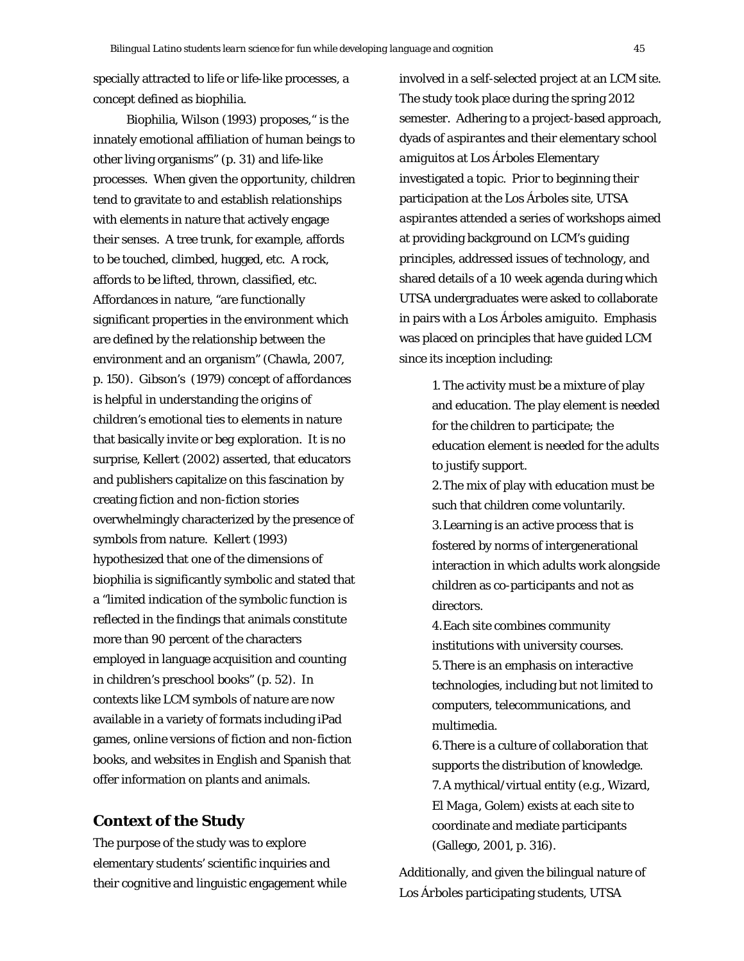specially attracted to life or life-like processes, a concept defined as biophilia.

Biophilia, Wilson (1993) proposes," is the innately emotional affiliation of human beings to other living organisms" (p. 31) and life-like processes. When given the opportunity, children tend to gravitate to and establish relationships with elements in nature that actively engage their senses. A tree trunk, for example, affords to be touched, climbed, hugged, etc. A rock, affords to be lifted, thrown, classified, etc. Affordances in nature, "are functionally significant properties in the environment which are defined by the relationship between the environment and an organism" (Chawla, 2007, p. 150). Gibson's (1979) concept of *affordances* is helpful in understanding the origins of children's emotional ties to elements in nature that basically *invite* or *beg* exploration. It is no surprise, Kellert (2002) asserted, that educators and publishers capitalize on this fascination by creating fiction and non-fiction stories overwhelmingly characterized by the presence of symbols from nature. Kellert (1993) hypothesized that one of the dimensions of biophilia is significantly symbolic and stated that a "limited indication of the symbolic function is reflected in the findings that animals constitute more than 90 percent of the characters employed in language acquisition and counting in children's preschool books" (p. 52). In contexts like LCM symbols of nature are now available in a variety of formats including iPad games, online versions of fiction and non-fiction books, and websites in English and Spanish that offer information on plants and animals.

# **Context of the Study**

The purpose of the study was to explore elementary students' scientific inquiries and their cognitive and linguistic engagement while involved in a self-selected project at an LCM site. The study took place during the spring 2012 semester. Adhering to a project-based approach, dyads of *aspirantes* and their elementary school *amiguitos* at *Los Árboles* Elementary investigated a topic. Prior to beginning their participation at the *Los Árboles* site, UTSA *aspirantes* attended a series of workshops aimed at providing background on LCM's guiding principles, addressed issues of technology, and shared details of a 10 week agenda during which UTSA undergraduates were asked to collaborate in pairs with a *Los Árboles amiguito*. Emphasis was placed on principles that have guided LCM since its inception including:

> 1. The activity must be a mixture of play and education. The play element is needed for the children to participate; the education element is needed for the adults to justify support.

> 2.The mix of play with education must be such that children come voluntarily. 3.Learning is an active process that is fostered by norms of intergenerational interaction in which adults work alongside children as co-participants and not as directors.

4.Each site combines community institutions with university courses. 5.There is an emphasis on interactive technologies, including but not limited to computers, telecommunications, and multimedia.

6.There is a culture of collaboration that supports the distribution of knowledge. 7.A mythical/virtual entity (e.g., Wizard, *El Maga*, Golem) exists at each site to coordinate and mediate participants (Gallego, 2001, p. 316).

Additionally, and given the bilingual nature of *Los Árboles* participating students, UTSA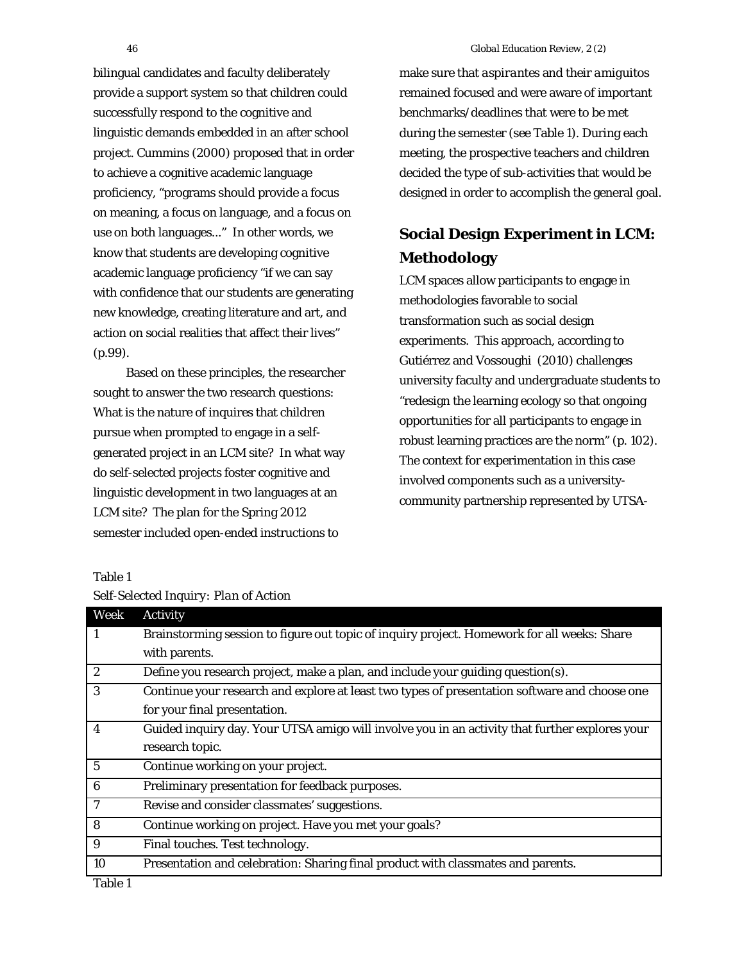bilingual candidates and faculty deliberately provide a support system so that children could successfully respond to the cognitive and linguistic demands embedded in an after school project. Cummins (2000) proposed that in order to achieve a cognitive academic language proficiency, "programs should provide a focus on meaning, a focus on language, and a focus on use on both languages..." In other words, we know that students are developing cognitive academic language proficiency "if we can say with confidence that our students are generating new knowledge, creating literature and art, and action on social realities that affect their lives" (p.99).

Based on these principles, the researcher sought to answer the two research questions: What is the nature of inquires that children pursue when prompted to engage in a selfgenerated project in an LCM site? In what way do self-selected projects foster cognitive and linguistic development in two languages at an LCM site? The plan for the Spring 2012 semester included open-ended instructions to

make sure that *aspirantes* and their *amiguitos*  remained focused and were aware of important benchmarks/deadlines that were to be met during the semester (see Table 1). During each meeting, the prospective teachers and children decided the type of sub-activities that would be designed in order to accomplish the general goal.

# **Social Design Experiment in LCM: Methodology**

LCM spaces allow participants to engage in methodologies favorable to social transformation such as social design experiments. This approach, according to Gutiérrez and Vossoughi (2010) challenges university faculty and undergraduate students to "redesign the learning ecology so that ongoing opportunities for all participants to engage in robust learning practices are the norm" (p. 102). The context for experimentation in this case involved components such as a universitycommunity partnership represented by UTSA-

#### Table 1

| Week             | Activity                                                                                       |
|------------------|------------------------------------------------------------------------------------------------|
| 1                | Brainstorming session to figure out topic of inquiry project. Homework for all weeks: Share    |
|                  | with parents.                                                                                  |
| $\boldsymbol{2}$ | Define you research project, make a plan, and include your guiding question(s).                |
| 3                | Continue your research and explore at least two types of presentation software and choose one  |
|                  | for your final presentation.                                                                   |
| 4                | Guided inquiry day. Your UTSA amigo will involve you in an activity that further explores your |
|                  | research topic.                                                                                |
| 5                | Continue working on your project.                                                              |
| $\boldsymbol{6}$ | Preliminary presentation for feedback purposes.                                                |
| 7                | Revise and consider classmates' suggestions.                                                   |
| 8                | Continue working on project. Have you met your goals?                                          |
| 9                | Final touches. Test technology.                                                                |
| 10               | Presentation and celebration: Sharing final product with classmates and parents.               |

*Self-Selected Inquiry: Plan of Action*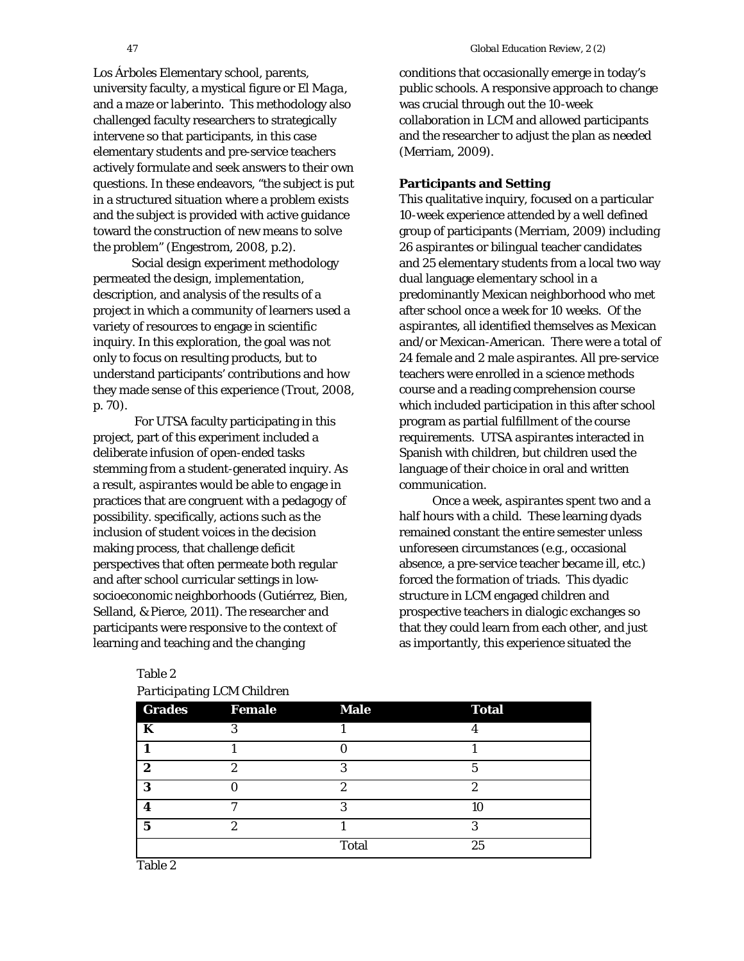*Los Árboles* Elementary school, parents, university faculty, a mystical figure or *El Maga*, and a maze or *laberinto*. This methodology also challenged faculty researchers to strategically intervene so that participants, in this case elementary students and pre-service teachers actively formulate and seek answers to their own questions. In these endeavors, "the subject is put in a structured situation where a problem exists and the subject is provided with active guidance toward the construction of new means to solve the problem" (Engestrom, 2008, p.2).

Social design experiment methodology permeated the design, implementation, description, and analysis of the results of a project in which a community of learners used a variety of resources to engage in scientific inquiry. In this exploration, the goal was not only to focus on resulting products, but to understand participants' contributions and how they made sense of this experience (Trout, 2008, p. 70).

For UTSA faculty participating in this project, part of this experiment included a deliberate infusion of open-ended tasks stemming from a student-generated inquiry. As a result, *aspirantes* would be able to engage in practices that are congruent with a pedagogy of possibility. specifically, actions such as the inclusion of student voices in the decision making process, that challenge deficit perspectives that often permeate both regular and after school curricular settings in lowsocioeconomic neighborhoods (Gutiérrez, Bien, Selland, & Pierce, 2011). The researcher and participants were responsive to the context of learning and teaching and the changing

conditions that occasionally emerge in today's public schools. A responsive approach to change was crucial through out the 10-week collaboration in LCM and allowed participants and the researcher to adjust the plan as needed (Merriam, 2009).

## **Participants and Setting**

This qualitative inquiry, focused on a particular 10-week experience attended by a well defined group of participants (Merriam, 2009) including 26 *aspirantes* or bilingual teacher candidates and 25 elementary students from a local two way dual language elementary school in a predominantly Mexican neighborhood who met after school once a week for 10 weeks. Of the *aspirantes*, all identified themselves as Mexican and/or Mexican-American. There were a total of 24 female and 2 male *aspirantes*. All pre-service teachers were enrolled in a science methods course and a reading comprehension course which included participation in this after school program as partial fulfillment of the course requirements. UTSA *aspirantes* interacted in Spanish with children, but children used the language of their choice in oral and written communication.

Once a week, *aspirantes* spent two and a half hours with a child. These learning dyads remained constant the entire semester unless unforeseen circumstances (e.g., occasional absence, a pre-service teacher became ill, etc.) forced the formation of triads. This dyadic structure in LCM engaged children and prospective teachers in dialogic exchanges so that they could learn from each other, and just as importantly, this experience situated the

| <b>Grades</b>           | <b>Female</b> | <b>Male</b>  | <b>Total</b> |  |
|-------------------------|---------------|--------------|--------------|--|
| K                       |               |              |              |  |
|                         |               |              |              |  |
| $\boldsymbol{2}$        | 2             | 3            | 5            |  |
| 3                       |               | ດ            | റ            |  |
| 4                       |               |              | 10           |  |
| $\overline{\mathbf{5}}$ | റ             |              | ๑            |  |
|                         |               | <b>Total</b> | 25           |  |
| $-112$                  |               |              |              |  |

## Table 2

| Participating LCM Children |  |  |
|----------------------------|--|--|
|----------------------------|--|--|

Table 2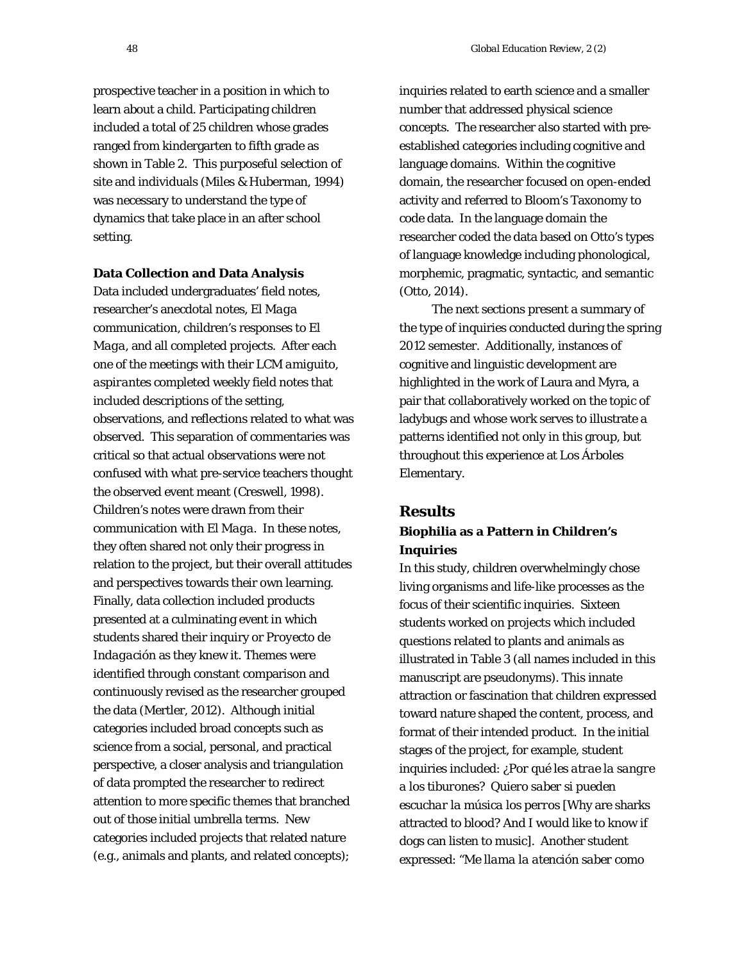prospective teacher in a position in which to learn about a child. Participating children included a total of 25 children whose grades ranged from kindergarten to fifth grade as shown in Table 2. This purposeful selection of site and individuals (Miles & Huberman, 1994) was necessary to understand the type of dynamics that take place in an after school setting.

#### **Data Collection and Data Analysis**

Data included undergraduates' field notes, researcher's anecdotal notes, *El Maga* communication, children's responses to *El Maga*, and all completed projects. After each one of the meetings with their LCM *amiguito*, *aspirantes* completed weekly field notes that included descriptions of the setting, observations, and reflections related to what was observed. This separation of commentaries was critical so that actual observations were not confused with what pre-service teachers thought the observed event meant (Creswell, 1998). Children's notes were drawn from their communication with *El Maga*. In these notes, they often shared not only their progress in relation to the project, but their overall attitudes and perspectives towards their own learning. Finally, data collection included products presented at a culminating event in which students shared their inquiry or *Proyecto de Indagación* as they knew it. Themes were identified through constant comparison and continuously revised as the researcher grouped the data (Mertler, 2012). Although initial categories included broad concepts such as science from a social, personal, and practical perspective, a closer analysis and triangulation of data prompted the researcher to redirect attention to more specific themes that branched out of those initial umbrella terms. New categories included projects that related nature (e.g., animals and plants, and related concepts);

inquiries related to earth science and a smaller number that addressed physical science concepts. The researcher also started with preestablished categories including cognitive and language domains. Within the cognitive domain, the researcher focused on open-ended activity and referred to Bloom's Taxonomy to code data. In the language domain the researcher coded the data based on Otto's types of language knowledge including phonological, morphemic, pragmatic, syntactic, and semantic (Otto, 2014).

The next sections present a summary of the type of inquiries conducted during the spring 2012 semester. Additionally, instances of cognitive and linguistic development are highlighted in the work of Laura and Myra, a pair that collaboratively worked on the topic of ladybugs and whose work serves to illustrate a patterns identified not only in this group, but throughout this experience at *Los Árboles* Elementary.

#### **Results**

# **Biophilia as a Pattern in Children's Inquiries**

In this study, children overwhelmingly chose living organisms and life-like processes as the focus of their scientific inquiries. Sixteen students worked on projects which included questions related to plants and animals as illustrated in Table 3 (all names included in this manuscript are pseudonyms). This innate attraction or fascination that children expressed toward nature shaped the content, process, and format of their intended product. In the initial stages of the project, for example, student inquiries included: *¿Por qué les atrae la sangre a los tiburones? Quiero saber si pueden escuchar la música los perros* [Why are sharks attracted to blood? And I would like to know if dogs can listen to music]. Another student expressed: "*Me llama la atención saber como*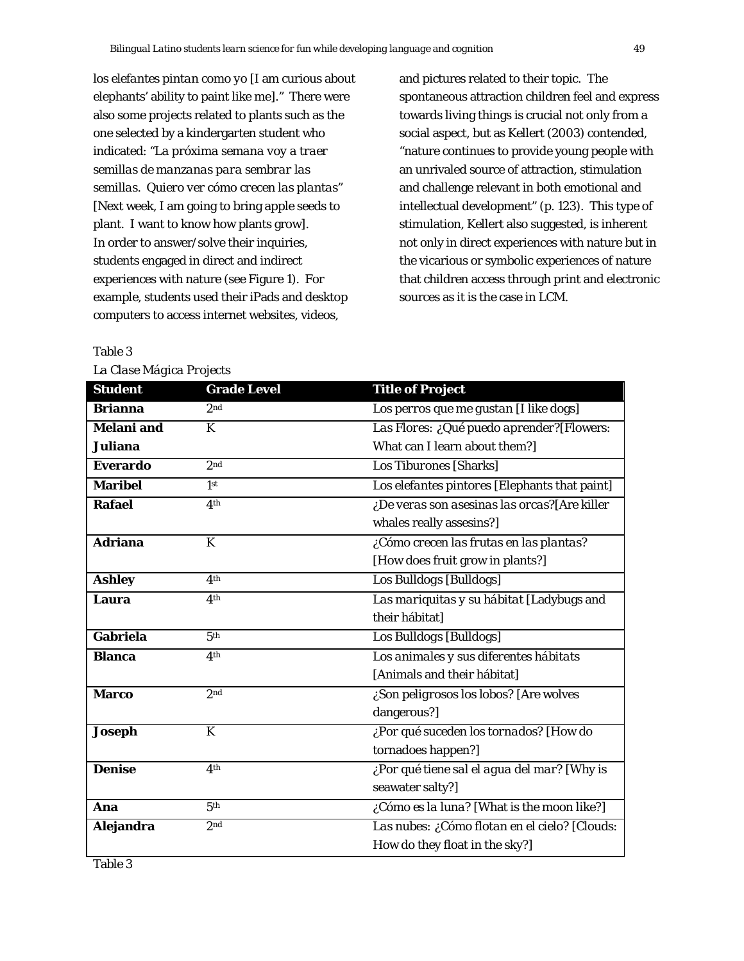*los elefantes pintan como yo* [I am curious about elephants' ability to paint like me]." There were also some projects related to plants such as the one selected by a kindergarten student who indicated: "*La próxima semana voy a traer semillas de manzanas para sembrar las semillas. Quiero ver cómo crecen las plantas*" [Next week, I am going to bring apple seeds to plant. I want to know how plants grow]. In order to answer/solve their inquiries, students engaged in direct and indirect experiences with nature (see Figure 1). For example, students used their iPads and desktop computers to access internet websites, videos,

and pictures related to their topic. The spontaneous attraction children feel and express towards living things is crucial not only from a social aspect, but as Kellert (2003) contended, "nature continues to provide young people with an unrivaled source of attraction, stimulation and challenge relevant in both emotional and intellectual development" (p. 123). This type of stimulation, Kellert also suggested, is inherent not only in direct experiences with nature but in the vicarious or symbolic experiences of nature that children access through print and electronic sources as it is the case in LCM.

#### Table 3

*La Clase Mágica Projects* 

| <b>Student</b>    | <b>Grade Level</b> | <b>Title of Project</b>                       |  |
|-------------------|--------------------|-----------------------------------------------|--|
| <b>Brianna</b>    | 2 <sub>nd</sub>    | Los perros que me gustan [I like dogs]        |  |
| <b>Melani</b> and | K                  | Las Flores: ¿Qué puedo aprender?[Flowers:     |  |
| <b>Juliana</b>    |                    | What can I learn about them?]                 |  |
| <b>Everardo</b>   | 2nd                | Los Tiburones [Sharks]                        |  |
| <b>Maribel</b>    | 1 <sub>st</sub>    | Los elefantes pintores [Elephants that paint] |  |
| <b>Rafael</b>     | 4th                | ¿De veras son asesinas las orcas?[Are killer  |  |
|                   |                    | whales really assesins?]                      |  |
| <b>Adriana</b>    | K                  | ¿Cómo crecen las frutas en las plantas?       |  |
|                   |                    | [How does fruit grow in plants?]              |  |
| <b>Ashley</b>     | 4 <sup>th</sup>    | Los Bulldogs [Bulldogs]                       |  |
| Laura             | 4 <sup>th</sup>    | Las mariquitas y su hábitat [Ladybugs and     |  |
|                   |                    | their hábitat]                                |  |
| Gabriela          | 5 <sup>th</sup>    | Los Bulldogs [Bulldogs]                       |  |
| <b>Blanca</b>     | 4 <sup>th</sup>    | Los animales y sus diferentes hábitats        |  |
|                   |                    | [Animals and their hábitat]                   |  |
| <b>Marco</b>      | 2 <sub>nd</sub>    | ¿Son peligrosos los lobos? [Are wolves        |  |
|                   |                    | dangerous?]                                   |  |
| Joseph            | K                  | ¿Por qué suceden los tornados? [How do        |  |
|                   |                    | tornadoes happen?]                            |  |
| <b>Denise</b>     | 4 <sup>th</sup>    | ¿Por qué tiene sal el agua del mar? [Why is   |  |
|                   |                    | seawater salty?]                              |  |
| Ana               | 5 <sup>th</sup>    | ¿Cómo es la luna? [What is the moon like?]    |  |
| Alejandra         | 2 <sub>nd</sub>    | Las nubes: ¿Cómo flotan en el cielo? [Clouds: |  |
|                   |                    | How do they float in the sky?]                |  |

Table 3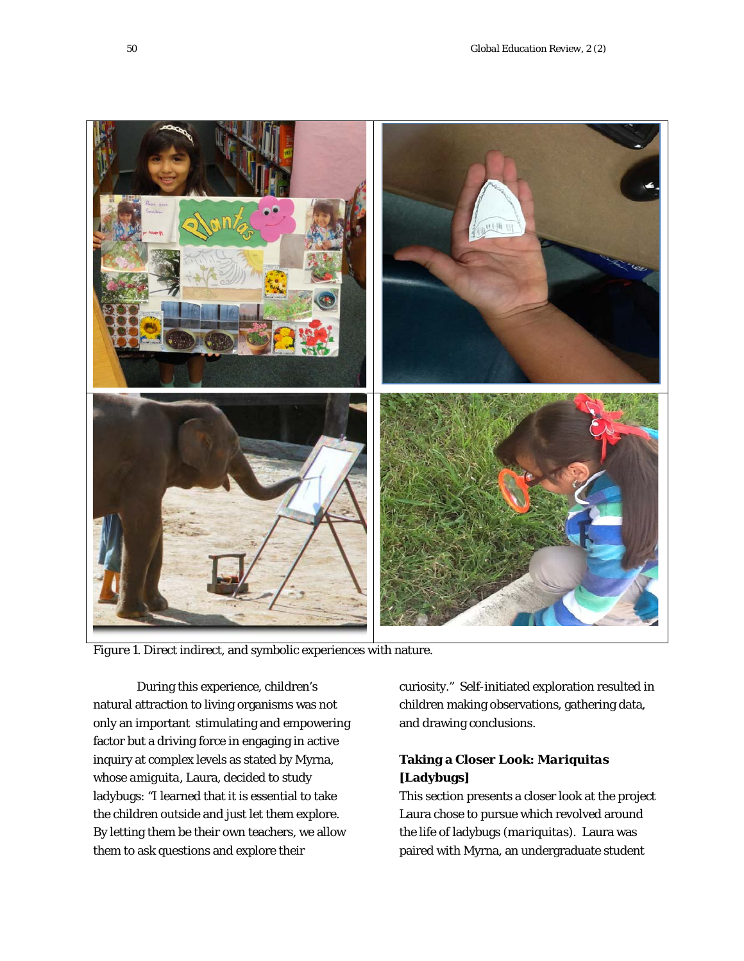

*Figure 1*. Direct indirect, and symbolic experiences with nature.

During this experience, children's natural attraction to living organisms was not only an important stimulating and empowering factor but a driving force in engaging in active inquiry at complex levels as stated by Myrna, whose *amiguita*, Laura, decided to study ladybugs: "I learned that it is essential to take the children outside and just let them explore. By letting them be their own teachers, we allow them to ask questions and explore their

curiosity." Self-initiated exploration resulted in children making observations, gathering data, and drawing conclusions.

# **Taking a Closer Look:** *Mariquitas* **[Ladybugs]**

This section presents a closer look at the project Laura chose to pursue which revolved around the life of ladybugs (*mariquitas*). Laura was paired with Myrna, an undergraduate student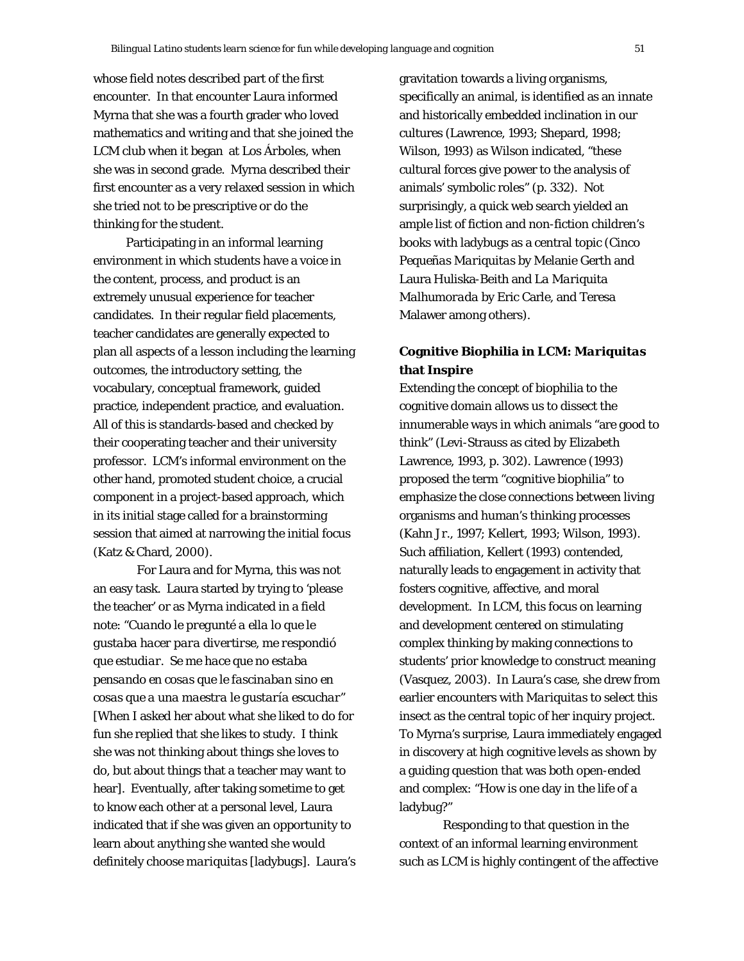whose field notes described part of the first encounter. In that encounter Laura informed Myrna that she was a fourth grader who loved mathematics and writing and that she joined the LCM club when it began at *Los Árboles,* when she was in second grade. Myrna described their first encounter as a very relaxed session in which she tried not to be prescriptive or do the thinking for the student.

Participating in an informal learning environment in which students have a voice in the content, process, and product is an extremely unusual experience for teacher candidates. In their regular field placements, teacher candidates are generally expected to plan all aspects of a lesson including the learning outcomes, the introductory setting, the vocabulary, conceptual framework, guided practice, independent practice, and evaluation. All of this is standards-based and checked by their cooperating teacher and their university professor. LCM's informal environment on the other hand, promoted student choice, a crucial component in a project-based approach, which in its initial stage called for a brainstorming session that aimed at narrowing the initial focus (Katz & Chard, 2000).

For Laura and for Myrna, this was not an easy task. Laura started by trying to 'please the teacher' or as Myrna indicated in a field note: "*Cuando le pregunté a ella lo que le gustaba hacer para divertirse, me respondió que estudiar. Se me hace que no estaba pensando en cosas que le fascinaban sino en cosas que a una maestra le gustaría escuchar*" [When I asked her about what she liked to do for fun she replied that she likes to study. I think she was not thinking about things she loves to do, but about things that a teacher may want to hear]. Eventually, after taking sometime to get to know each other at a personal level, Laura indicated that if she was given an opportunity to learn about anything she wanted she would definitely choose *mariquitas* [ladybugs]. Laura's gravitation towards a living organisms, specifically an animal, is identified as an innate and historically embedded inclination in our cultures (Lawrence, 1993; Shepard, 1998; Wilson, 1993) as Wilson indicated, "these cultural forces give power to the analysis of animals' symbolic roles" (p. 332). Not surprisingly, a quick web search yielded an ample list of fiction and non-fiction children's books with ladybugs as a central topic (*Cinco Pequeñas Mariquitas* by Melanie Gerth and Laura Huliska-Beith and *La Mariquita Malhumorada* by Eric Carle, and Teresa Malawer among others).

# **Cognitive Biophilia in LCM:** *Mariquitas* **that Inspire**

Extending the concept of biophilia to the cognitive domain allows us to dissect the innumerable ways in which animals "are good to think" (Levi-Strauss as cited by Elizabeth Lawrence, 1993, p. 302). Lawrence (1993) proposed the term "cognitive biophilia" to emphasize the close connections between living organisms and human's thinking processes (Kahn Jr., 1997; Kellert, 1993; Wilson, 1993). Such affiliation, Kellert (1993) contended, naturally leads to engagement in activity that fosters cognitive, affective, and moral development. In LCM, this focus on learning and development centered on stimulating complex thinking by making connections to students' prior knowledge to construct meaning (Vasquez, 2003). In Laura's case, she drew from earlier encounters with *Mariquitas* to select this insect as the central topic of her inquiry project. To Myrna's surprise, Laura immediately engaged in discovery at high cognitive levels as shown by a guiding question that was both open-ended and complex: "How is one day in the life of a ladybug?"

Responding to that question in the context of an informal learning environment such as LCM is highly contingent of the affective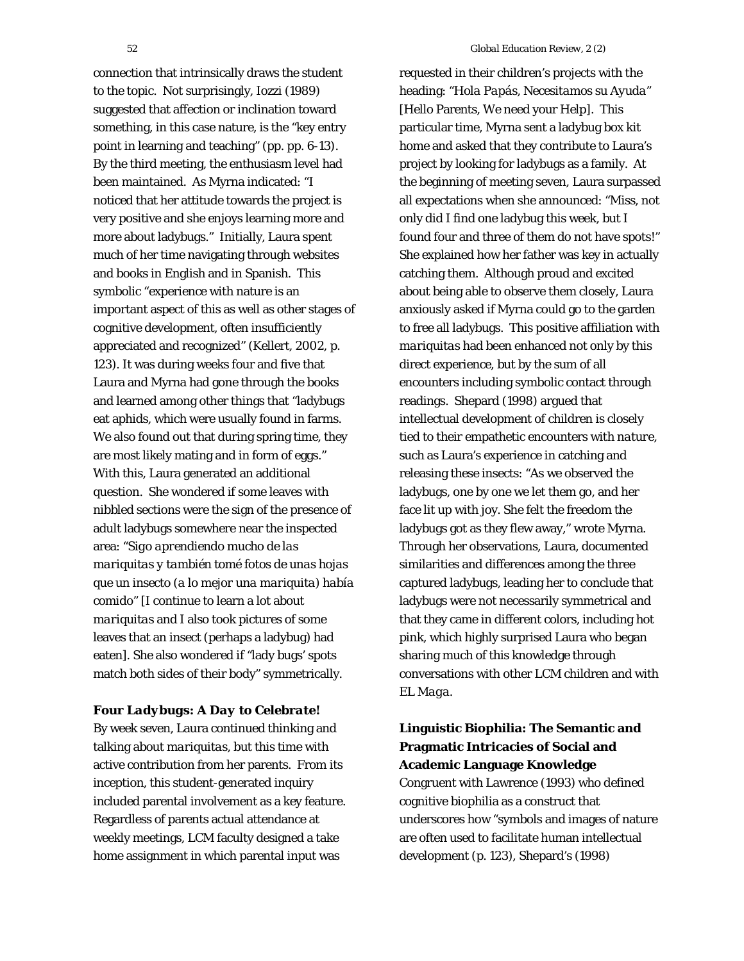connection that intrinsically draws the student to the topic. Not surprisingly, Iozzi (1989) suggested that affection or inclination toward something, in this case nature, is the "key entry point in learning and teaching" (pp. pp. 6-13). By the third meeting, the enthusiasm level had been maintained. As Myrna indicated: "I noticed that her attitude towards the project is very positive and she enjoys learning more and more about ladybugs." Initially, Laura spent much of her time navigating through websites and books in English and in Spanish. This symbolic "experience with nature is an important aspect of this as well as other stages of cognitive development, often insufficiently appreciated and recognized" (Kellert, 2002, p. 123). It was during weeks four and five that Laura and Myrna had gone through the books and learned among other things that "ladybugs eat aphids, which were usually found in farms. We also found out that during spring time, they are most likely mating and in form of eggs." With this, Laura generated an additional question. She wondered if some leaves with nibbled sections were the sign of the presence of adult ladybugs somewhere near the inspected area: "*Sigo aprendiendo mucho de las mariquitas y también tomé fotos de unas hojas que un insecto (a lo mejor una mariquita) había comido*" [I continue to learn a lot about *mariquitas* and I also took pictures of some leaves that an insect (perhaps a ladybug) had eaten]. She also wondered if "lady bugs' spots match both sides of their body" symmetrically.

#### *Four Ladybugs: A Day to Celebrate!*

By week seven, Laura continued thinking and talking about *mariquitas*, but this time with active contribution from her parents. From its inception, this student-generated inquiry included parental involvement as a key feature. Regardless of parents actual attendance at weekly meetings, LCM faculty designed a take home assignment in which parental input was

requested in their children's projects with the heading: "*Hola Papás, Necesitamos su Ayuda*" [Hello Parents, We need your Help]. This particular time, Myrna sent a ladybug box kit home and asked that they contribute to Laura's project by looking for ladybugs as a family. At the beginning of meeting seven, Laura surpassed all expectations when she announced: "Miss, not only did I find one ladybug this week, but I found four and three of them do not have spots!" She explained how her father was key in actually catching them. Although proud and excited about being able to observe them closely, Laura anxiously asked if Myrna could go to the garden to free all ladybugs. This positive affiliation with *mariquitas* had been enhanced not only by this direct experience, but by the sum of all encounters including symbolic contact through readings. Shepard (1998) argued that intellectual development of children is closely tied to their empathetic encounters with *nature*, such as Laura's experience in catching and releasing these insects: "As we observed the ladybugs, one by one we let them go, and her face lit up with joy. She felt the freedom the ladybugs got as they flew away," wrote Myrna. Through her observations, Laura, documented similarities and differences among the three captured ladybugs, leading her to conclude that ladybugs were not necessarily symmetrical and that they came in different colors, including hot pink, which highly surprised Laura who began sharing much of this knowledge through conversations with other LCM children and with *EL Maga*.

# **Linguistic Biophilia: The Semantic and Pragmatic Intricacies of Social and Academic Language Knowledge**  Congruent with Lawrence (1993) who defined cognitive biophilia as a construct that underscores how "symbols and images of nature are often used to facilitate human intellectual

development (p. 123), Shepard's (1998)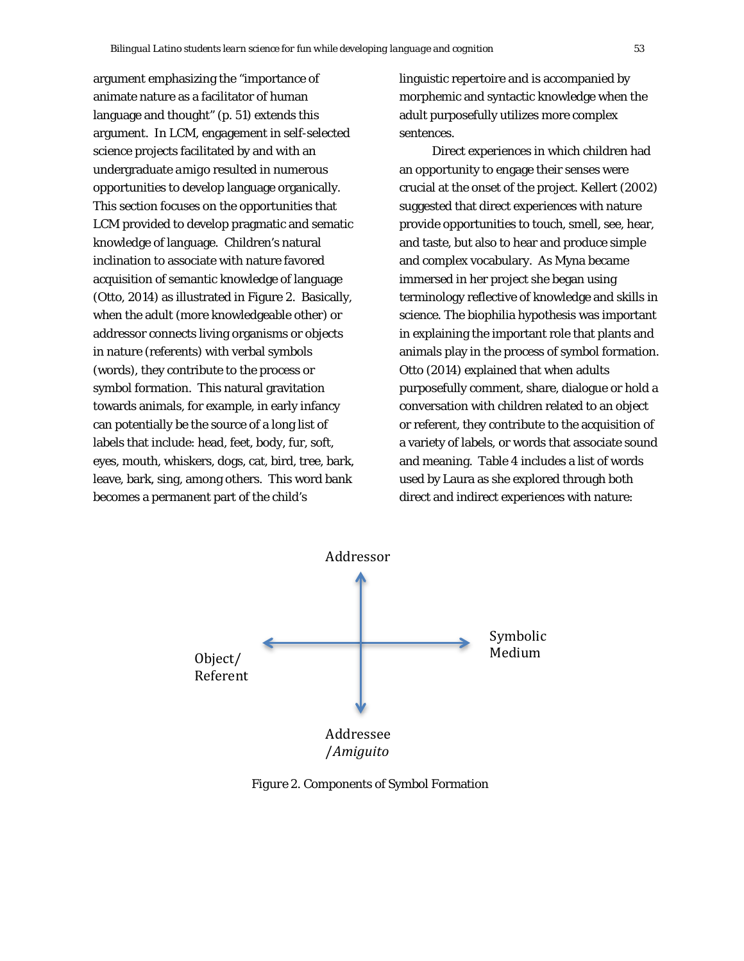argument emphasizing the "importance of animate nature as a facilitator of human language and thought" (p. 51) extends this argument. In LCM, engagement in self-selected science projects facilitated by and with an undergraduate *amigo* resulted in numerous opportunities to develop language organically. This section focuses on the opportunities that LCM provided to develop pragmatic and sematic knowledge of language. Children's natural inclination to associate with nature favored acquisition of semantic knowledge of language (Otto, 2014) as illustrated in Figure 2. Basically, when the adult (more knowledgeable other) or addressor connects living organisms or objects in nature (referents) with verbal symbols (words), they contribute to the process or symbol formation. This natural gravitation towards animals, for example, in early infancy can potentially be the source of a long list of labels that include: head, feet, body, fur, soft, eyes, mouth, whiskers, dogs, cat, bird, tree, bark, leave, bark, sing, among others. This word bank becomes a permanent part of the child's

linguistic repertoire and is accompanied by morphemic and syntactic knowledge when the adult purposefully utilizes more complex sentences.

Direct experiences in which children had an opportunity to engage their senses were crucial at the onset of the project. Kellert (2002) suggested that direct experiences with nature provide opportunities to touch, smell, see, hear, and taste, but also to hear and produce simple and complex vocabulary. As Myna became immersed in her project she began using terminology reflective of knowledge and skills in science. The biophilia hypothesis was important in explaining the important role that plants and animals play in the process of symbol formation. Otto (2014) explained that when adults purposefully comment, share, dialogue or hold a conversation with children related to an object or referent, they contribute to the acquisition of a variety of labels, or words that associate sound and meaning. Table 4 includes a list of words used by Laura as she explored through both direct and indirect experiences with nature:



*Figure 2*. Components of Symbol Formation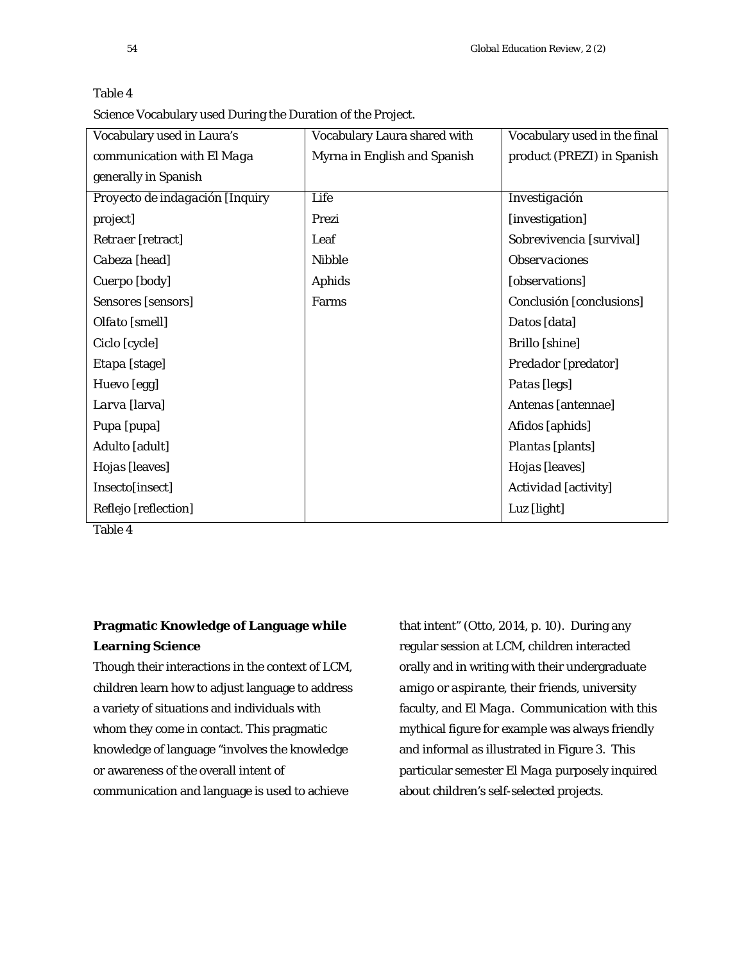| Vocabulary used in Laura's      | Vocabulary Laura shared with | Vocabulary used in the final |
|---------------------------------|------------------------------|------------------------------|
| communication with El Maga      | Myrna in English and Spanish | product (PREZI) in Spanish   |
| generally in Spanish            |                              |                              |
| Proyecto de indagación [Inquiry | Life                         | Investigación                |
| project]                        | Prezi                        | [investigation]              |
| Retraer [retract]               | Leaf                         | Sobrevivencia [survival]     |
| Cabeza [head]                   | <b>Nibble</b>                | <b>Observaciones</b>         |
| Cuerpo [body]                   | <b>Aphids</b>                | [observations]               |
| Sensores [sensors]              | Farms                        | Conclusión [conclusions]     |
| Olfato [smell]                  |                              | Datos [data]                 |
| Ciclo [cycle]                   |                              | <b>Brillo</b> [shine]        |
| Etapa [stage]                   |                              | Predador [predator]          |
| Huevo [egg]                     |                              | Patas [legs]                 |
| Larva [larva]                   |                              | Antenas [antennae]           |
| Pupa [pupa]                     |                              | Afidos [aphids]              |
| Adulto [adult]                  |                              | Plantas [plants]             |
| Hojas [leaves]                  |                              | Hojas [leaves]               |
| Insecto[insect]                 |                              | Actividad [activity]         |
| Reflejo [reflection]            |                              | Luz [light]                  |

| ۰, |  |
|----|--|
|----|--|

Science Vocabulary used During the Duration of the Project.

Table 4

# **Pragmatic Knowledge of Language while Learning Science**

Though their interactions in the context of LCM, children learn how to adjust language to address a variety of situations and individuals with whom they come in contact. This pragmatic knowledge of language "involves the knowledge or awareness of the overall intent of communication and language is used to achieve

that intent" (Otto, 2014, p. 10). During any regular session at LCM, children interacted orally and in writing with their undergraduate *amigo* or *aspirante*, their friends, university faculty, and *El Maga*. Communication with this mythical figure for example was always friendly and informal as illustrated in Figure 3. This particular semester *El Maga* purposely inquired about children's self-selected projects.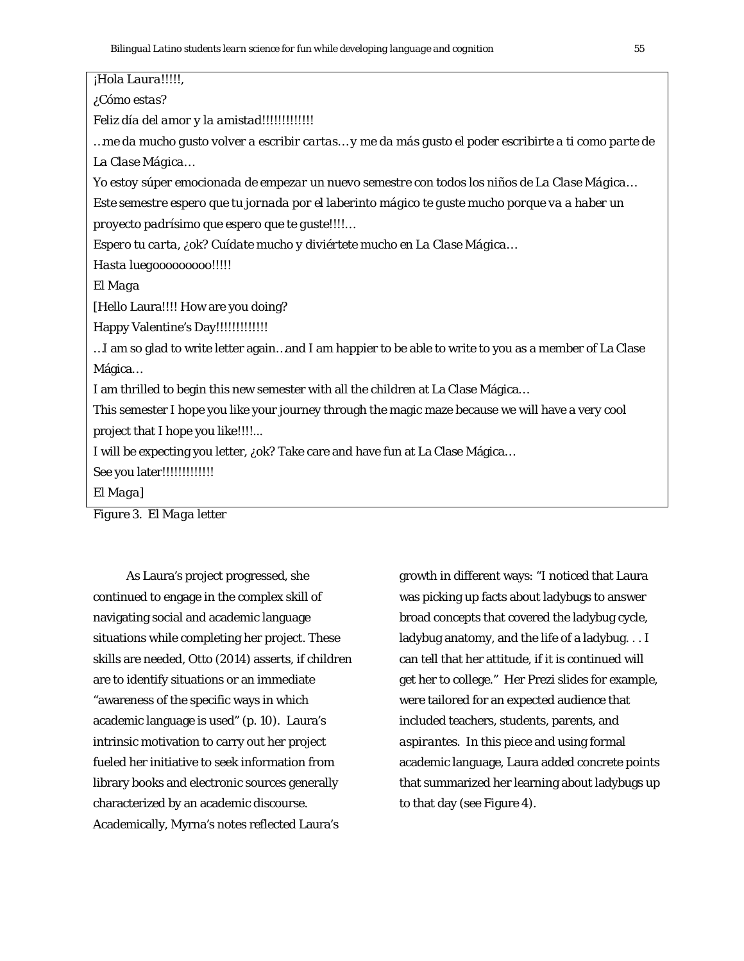*¡Hola Laura!!!!!, ¿Cómo estas? Feliz día del amor y la amistad!!!!!!!!!!!!! …me da mucho gusto volver a escribir cartas… y me da más gusto el poder escribirte a ti como parte de La Clase Mágica… Yo estoy súper emocionada de empezar un nuevo semestre con todos los niños de La Clase Mágica… Este semestre espero que tu jornada por el laberinto mágico te guste mucho porque va a haber un proyecto padrísimo que espero que te guste!!!!… Espero tu carta, ¿ok? Cuídate mucho y diviértete mucho en La Clase Mágica… Hasta luegooooooooo!!!!! El Maga* [Hello Laura!!!! How are you doing? Happy Valentine's Day!!!!!!!!!!!!! …I am so glad to write letter again…and I am happier to be able to write to you as a member of La Clase Mágica… I am thrilled to begin this new semester with all the children at La Clase Mágica… This semester I hope you like your journey through the magic maze because we will have a very cool project that I hope you like!!!!... I will be expecting you letter, ¿ok? Take care and have fun at La Clase Mágica… See you later!!!!!!!!!!!!! *El Maga*]

*Figure 3*. *El Maga* letter

As Laura's project progressed, she continued to engage in the complex skill of navigating social and academic language situations while completing her project. These skills are needed, Otto (2014) asserts, if children are to identify situations or an immediate "awareness of the specific ways in which academic language is used" (p. 10). Laura's intrinsic motivation to carry out her project fueled her initiative to seek information from library books and electronic sources generally characterized by an academic discourse. Academically, Myrna's notes reflected Laura's

growth in different ways: "I noticed that Laura was picking up facts about ladybugs to answer broad concepts that covered the ladybug cycle, ladybug anatomy, and the life of a ladybug. . . I can tell that her attitude, if it is continued will get her to college." Her Prezi slides for example, were tailored for an expected audience that included teachers, students, parents, and *aspirantes*. In this piece and using formal academic language, Laura added concrete points that summarized her learning about ladybugs up to that day (see Figure 4).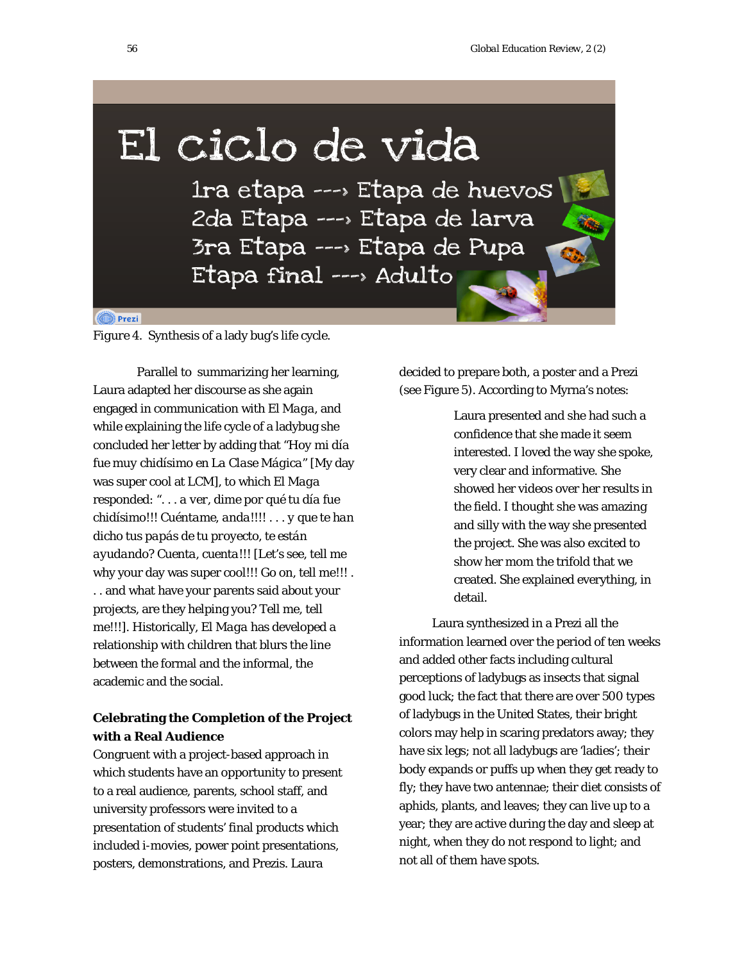# El ciclo de vida

1ra etapa ---> Etapa de huevos 2da Etapa ---> Etapa de larva 3ra Etapa ---> Etapa de Pupa Etapa final ---> Adulto

#### **O** Prezi

*Figure 4*. Synthesis of a lady bug's life cycle.

Parallel to summarizing her learning, Laura adapted her discourse as she again engaged in communication with *El Maga,* and while explaining the life cycle of a ladybug she concluded her letter by adding that "*Hoy mi día fue muy chidísimo en La Clase Mágica*" [My day was super cool at LCM], to which *El Maga* responded: ". . . *a ver, dime por qué tu día fue chidísimo!!! Cuéntame, anda!!!!* . . . *y que te han dicho tus papás de tu proyecto, te están ayudando? Cuenta, cuenta!!!* [Let's see, tell me why your day was super cool!!! Go on, tell me!!! . . . and what have your parents said about your projects, are they helping you? Tell me, tell me!!!]. Historically, *El Maga* has developed a relationship with children that blurs the line between the formal and the informal, the academic and the social.

# **Celebrating the Completion of the Project with a Real Audience**

Congruent with a project-based approach in which students have an opportunity to present to a real audience, parents, school staff, and university professors were invited to a presentation of students' final products which included i-movies, power point presentations, posters, demonstrations, and Prezis. Laura

decided to prepare both, a poster and a Prezi (see Figure 5). According to Myrna's notes:

> Laura presented and she had such a confidence that she made it seem interested. I loved the way she spoke, very clear and informative. She showed her videos over her results in the field. I thought she was amazing and silly with the way she presented the project. She was also excited to show her mom the trifold that we created. She explained everything, in detail.

Laura synthesized in a Prezi all the information learned over the period of ten weeks and added other facts including cultural perceptions of ladybugs as insects that signal good luck; the fact that there are over 500 types of ladybugs in the United States, their bright colors may help in scaring predators away; they have six legs; not all ladybugs are 'ladies'; their body expands or puffs up when they get ready to fly; they have two antennae; their diet consists of aphids, plants, and leaves; they can live up to a year; they are active during the day and sleep at night, when they do not respond to light; and not all of them have spots.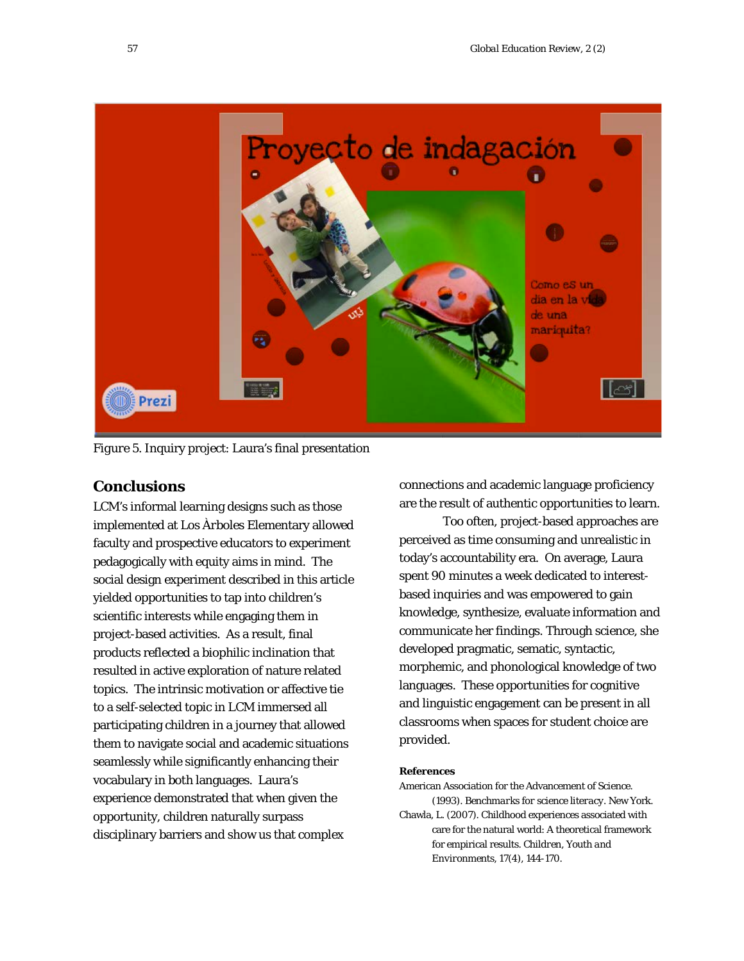

*Figure 5*. Inquiry project: Laura's final presentation

# **Conclusions**

LCM's informal learning designs such as those implemented at *Los Àrboles* Elementary allowed faculty and prospective educators to experiment pedagogically with equity aims in mind. The social design experiment described in this article yielded opportunities to tap into children's scientific interests while engaging them in project-based activities. As a result, final products reflected a biophilic inclination that resulted in active exploration of nature related topics. The intrinsic motivation or affective tie to a self-selected topic in LCM immersed all participating children in a journey that allowed them to navigate social and academic situations seamlessly while significantly enhancing their vocabulary in both languages. Laura's experience demonstrated that when given the opportunity, children naturally surpass disciplinary barriers and show us that complex

connections and academic language proficiency are the result of authentic opportunities to learn.

Too often, project-based approaches are perceived as time consuming and unrealistic in today's accountability era. On average, Laura spent 90 minutes a week dedicated to interestbased inquiries and was empowered to gain knowledge, synthesize, evaluate information and communicate her findings. Through science, she developed pragmatic, sematic, syntactic, morphemic, and phonological knowledge of two languages. These opportunities for cognitive and linguistic engagement can be present in all classrooms when spaces for student choice are provided.

#### **References**

American Association for the Advancement of Science. (1993). *Benchmarks for science literacy*. New York.

Chawla, L. (2007). Childhood experiences associated with care for the natural world: A theoretical framework for empirical results. *Children, Youth and Environments, 17*(4), 144-170.